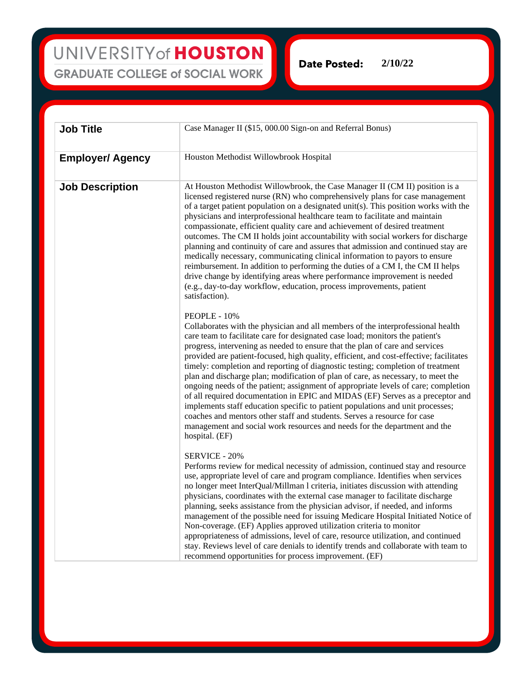UNIVERSITY of HOUSTON **GRADUATE COLLEGE of SOCIAL WORK** 

**2/10/22Date Posted:** 

| <b>Job Title</b>        | Case Manager II (\$15, 000.00 Sign-on and Referral Bonus)                                                                                                                                                                                                                                                                                                                                                                                                                                                                                                                                                                                                                                                                                                                                                                                                                                                                                                              |
|-------------------------|------------------------------------------------------------------------------------------------------------------------------------------------------------------------------------------------------------------------------------------------------------------------------------------------------------------------------------------------------------------------------------------------------------------------------------------------------------------------------------------------------------------------------------------------------------------------------------------------------------------------------------------------------------------------------------------------------------------------------------------------------------------------------------------------------------------------------------------------------------------------------------------------------------------------------------------------------------------------|
|                         |                                                                                                                                                                                                                                                                                                                                                                                                                                                                                                                                                                                                                                                                                                                                                                                                                                                                                                                                                                        |
| <b>Employer/ Agency</b> | Houston Methodist Willowbrook Hospital                                                                                                                                                                                                                                                                                                                                                                                                                                                                                                                                                                                                                                                                                                                                                                                                                                                                                                                                 |
| <b>Job Description</b>  | At Houston Methodist Willowbrook, the Case Manager II (CM II) position is a<br>licensed registered nurse (RN) who comprehensively plans for case management<br>of a target patient population on a designated unit(s). This position works with the<br>physicians and interprofessional healthcare team to facilitate and maintain<br>compassionate, efficient quality care and achievement of desired treatment<br>outcomes. The CM II holds joint accountability with social workers for discharge<br>planning and continuity of care and assures that admission and continued stay are<br>medically necessary, communicating clinical information to payors to ensure<br>reimbursement. In addition to performing the duties of a CM I, the CM II helps<br>drive change by identifying areas where performance improvement is needed<br>(e.g., day-to-day workflow, education, process improvements, patient<br>satisfaction).                                      |
|                         | PEOPLE - 10%<br>Collaborates with the physician and all members of the interprofessional health<br>care team to facilitate care for designated case load; monitors the patient's<br>progress, intervening as needed to ensure that the plan of care and services<br>provided are patient-focused, high quality, efficient, and cost-effective; facilitates<br>timely: completion and reporting of diagnostic testing; completion of treatment<br>plan and discharge plan; modification of plan of care, as necessary, to meet the<br>ongoing needs of the patient; assignment of appropriate levels of care; completion<br>of all required documentation in EPIC and MIDAS (EF) Serves as a preceptor and<br>implements staff education specific to patient populations and unit processes;<br>coaches and mentors other staff and students. Serves a resource for case<br>management and social work resources and needs for the department and the<br>hospital. (EF) |
|                         | <b>SERVICE - 20%</b><br>Performs review for medical necessity of admission, continued stay and resource<br>use, appropriate level of care and program compliance. Identifies when services<br>no longer meet InterQual/Millman l criteria, initiates discussion with attending<br>physicians, coordinates with the external case manager to facilitate discharge<br>planning, seeks assistance from the physician advisor, if needed, and informs<br>management of the possible need for issuing Medicare Hospital Initiated Notice of<br>Non-coverage. (EF) Applies approved utilization criteria to monitor<br>appropriateness of admissions, level of care, resource utilization, and continued<br>stay. Reviews level of care denials to identify trends and collaborate with team to<br>recommend opportunities for process improvement. (EF)                                                                                                                     |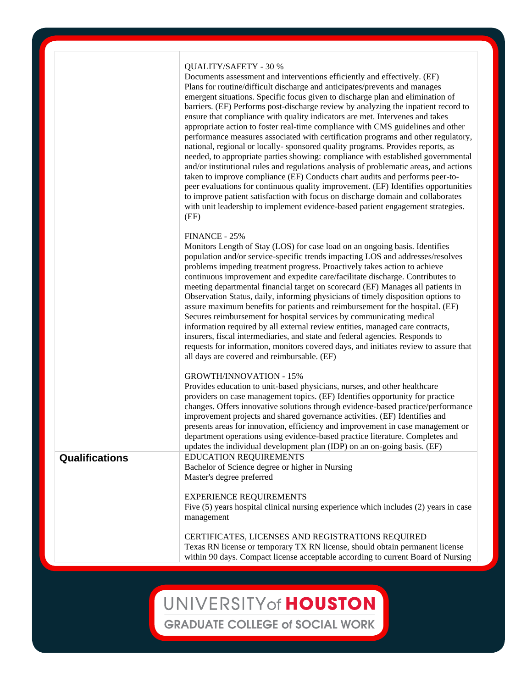### QUALITY/SAFETY - 30 %

Documents assessment and interventions efficiently and effectively. (EF) Plans for routine/difficult discharge and anticipates/prevents and manages emergent situations. Specific focus given to discharge plan and elimination of barriers. (EF) Performs post-discharge review by analyzing the inpatient record to ensure that compliance with quality indicators are met. Intervenes and takes appropriate action to foster real-time compliance with CMS guidelines and other performance measures associated with certification programs and other regulatory, national, regional or locally- sponsored quality programs. Provides reports, as needed, to appropriate parties showing: compliance with established governmental and/or institutional rules and regulations analysis of problematic areas, and actions taken to improve compliance (EF) Conducts chart audits and performs peer-topeer evaluations for continuous quality improvement. (EF) Identifies opportunities to improve patient satisfaction with focus on discharge domain and collaborates with unit leadership to implement evidence-based patient engagement strategies. (EF)

#### FINANCE - 25%

Monitors Length of Stay (LOS) for case load on an ongoing basis. Identifies population and/or service-specific trends impacting LOS and addresses/resolves problems impeding treatment progress. Proactively takes action to achieve continuous improvement and expedite care/facilitate discharge. Contributes to meeting departmental financial target on scorecard (EF) Manages all patients in Observation Status, daily, informing physicians of timely disposition options to assure maximum benefits for patients and reimbursement for the hospital. (EF) Secures reimbursement for hospital services by communicating medical information required by all external review entities, managed care contracts, insurers, fiscal intermediaries, and state and federal agencies. Responds to requests for information, monitors covered days, and initiates review to assure that all days are covered and reimbursable. (EF)

#### GROWTH/INNOVATION - 15%

Provides education to unit-based physicians, nurses, and other healthcare providers on case management topics. (EF) Identifies opportunity for practice changes. Offers innovative solutions through evidence-based practice/performance improvement projects and shared governance activities. (EF) Identifies and presents areas for innovation, efficiency and improvement in case management or department operations using evidence-based practice literature. Completes and updates the individual development plan (IDP) on an on-going basis. (EF) **Qualifications** EDUCATION REQUIREMENTS Bachelor of Science degree or higher in Nursing

EXPERIENCE REQUIREMENTS Five (5) years hospital clinical nursing experience which includes (2) years in case

management

Master's degree preferred

CERTIFICATES, LICENSES AND REGISTRATIONS REQUIRED Texas RN license or temporary TX RN license, should obtain permanent license within 90 days. Compact license acceptable according to current Board of Nursing

## UNIVERSITY of HOUSTON

**GRADUATE COLLEGE of SOCIAL WORK**